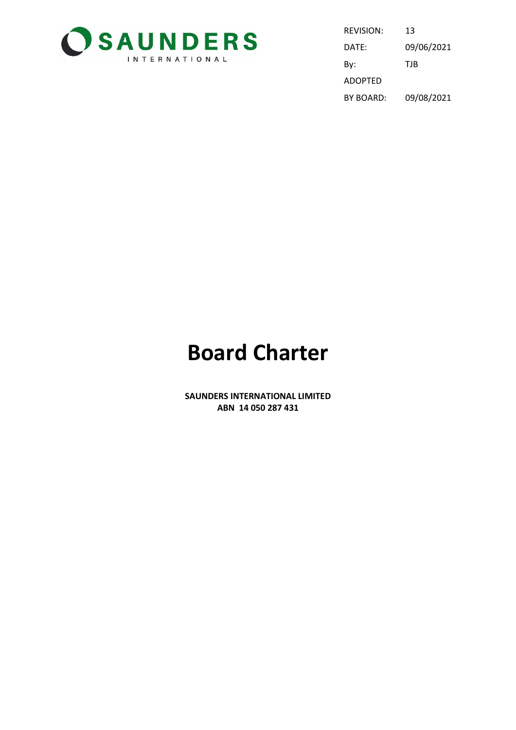

| REVISION:      | 13         |
|----------------|------------|
| DATE:          | 09/06/2021 |
| By:            | TJB        |
| <b>ADOPTED</b> |            |
| BY BOARD:      | 09/08/2021 |

# **Board Charter**

**SAUNDERS INTERNATIONAL LIMITED ABN 14 050 287 431**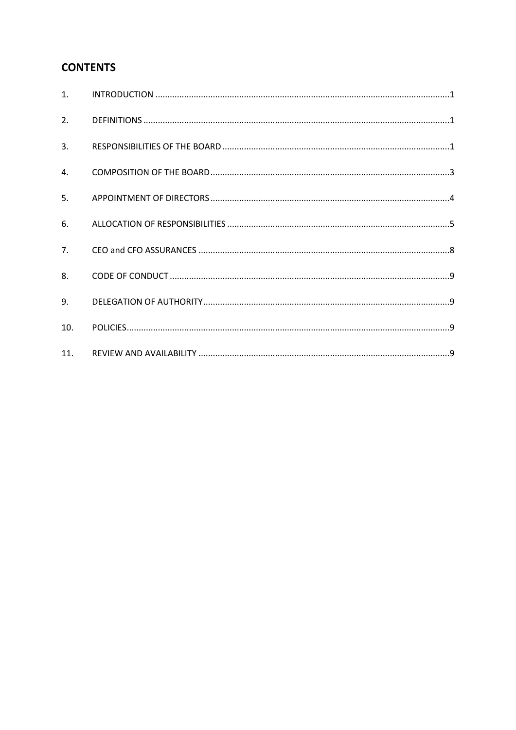### **CONTENTS**

| 2.  |  |
|-----|--|
| 3.  |  |
| 4.  |  |
| 5.  |  |
| 6.  |  |
| 7.  |  |
| 8.  |  |
| 9.  |  |
| 10. |  |
| 11. |  |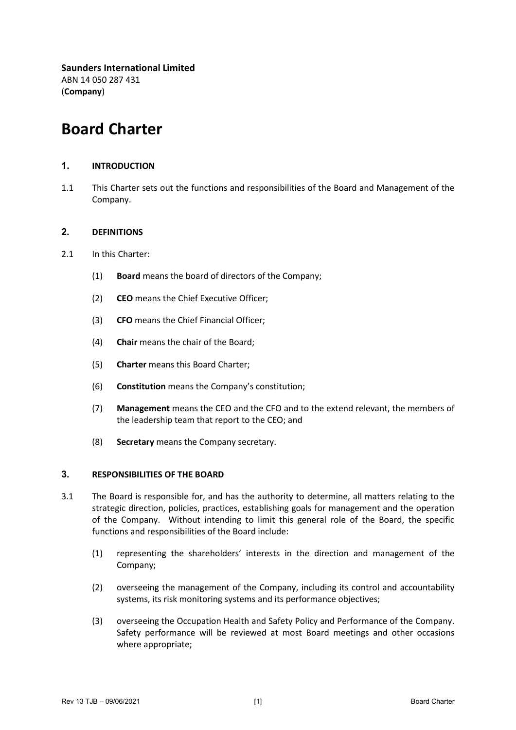**Saunders International Limited** ABN 14 050 287 431 (**Company**)

## **Board Charter**

#### <span id="page-2-0"></span>**1. INTRODUCTION**

1.1 This Charter sets out the functions and responsibilities of the Board and Management of the Company.

#### <span id="page-2-1"></span>**2. DEFINITIONS**

- 2.1 In this Charter:
	- (1) **Board** means the board of directors of the Company;
	- (2) **CEO** means the Chief Executive Officer;
	- (3) **CFO** means the Chief Financial Officer;
	- (4) **Chair** means the chair of the Board;
	- (5) **Charter** means this Board Charter;
	- (6) **Constitution** means the Company's constitution;
	- (7) **Management** means the CEO and the CFO and to the extend relevant, the members of the leadership team that report to the CEO; and
	- (8) **Secretary** means the Company secretary.

#### <span id="page-2-2"></span>**3. RESPONSIBILITIES OF THE BOARD**

- 3.1 The Board is responsible for, and has the authority to determine, all matters relating to the strategic direction, policies, practices, establishing goals for management and the operation of the Company. Without intending to limit this general role of the Board, the specific functions and responsibilities of the Board include:
	- (1) representing the shareholders' interests in the direction and management of the Company;
	- (2) overseeing the management of the Company, including its control and accountability systems, its risk monitoring systems and its performance objectives;
	- (3) overseeing the Occupation Health and Safety Policy and Performance of the Company. Safety performance will be reviewed at most Board meetings and other occasions where appropriate;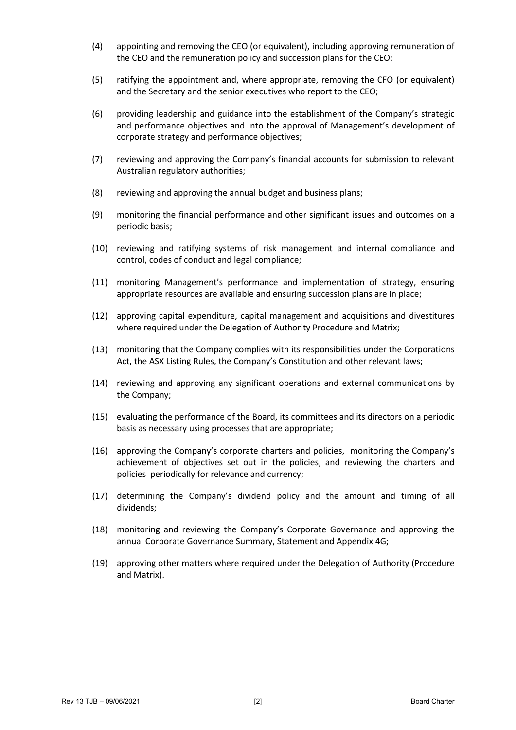- (4) appointing and removing the CEO (or equivalent), including approving remuneration of the CEO and the remuneration policy and succession plans for the CEO;
- (5) ratifying the appointment and, where appropriate, removing the CFO (or equivalent) and the Secretary and the senior executives who report to the CEO;
- (6) providing leadership and guidance into the establishment of the Company's strategic and performance objectives and into the approval of Management's development of corporate strategy and performance objectives;
- (7) reviewing and approving the Company's financial accounts for submission to relevant Australian regulatory authorities;
- (8) reviewing and approving the annual budget and business plans;
- (9) monitoring the financial performance and other significant issues and outcomes on a periodic basis;
- (10) reviewing and ratifying systems of risk management and internal compliance and control, codes of conduct and legal compliance;
- (11) monitoring Management's performance and implementation of strategy, ensuring appropriate resources are available and ensuring succession plans are in place;
- (12) approving capital expenditure, capital management and acquisitions and divestitures where required under the Delegation of Authority Procedure and Matrix;
- (13) monitoring that the Company complies with its responsibilities under the Corporations Act, the ASX Listing Rules, the Company's Constitution and other relevant laws;
- (14) reviewing and approving any significant operations and external communications by the Company;
- (15) evaluating the performance of the Board, its committees and its directors on a periodic basis as necessary using processes that are appropriate;
- (16) approving the Company's corporate charters and policies, monitoring the Company's achievement of objectives set out in the policies, and reviewing the charters and policies periodically for relevance and currency;
- (17) determining the Company's dividend policy and the amount and timing of all dividends;
- (18) monitoring and reviewing the Company's Corporate Governance and approving the annual Corporate Governance Summary, Statement and Appendix 4G;
- <span id="page-3-0"></span>(19) approving other matters where required under the Delegation of Authority (Procedure and Matrix).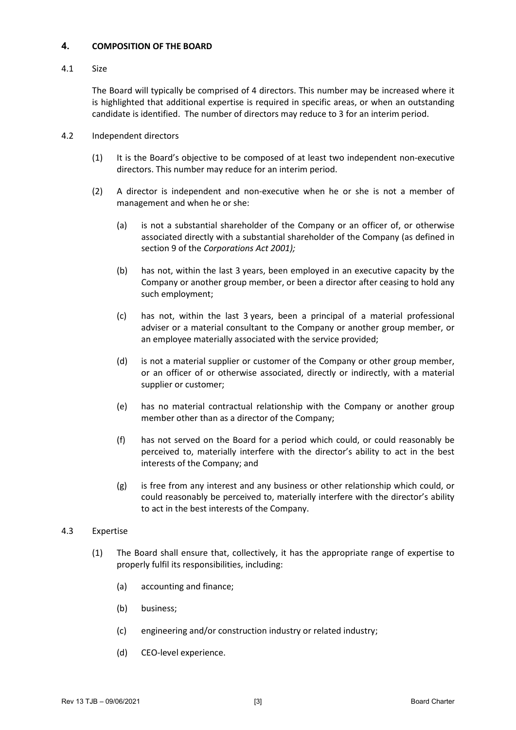#### **4. COMPOSITION OF THE BOARD**

#### 4.1 Size

The Board will typically be comprised of 4 directors. This number may be increased where it is highlighted that additional expertise is required in specific areas, or when an outstanding candidate is identified. The number of directors may reduce to 3 for an interim period.

- 4.2 Independent directors
	- (1) It is the Board's objective to be composed of at least two independent non-executive directors. This number may reduce for an interim period.
	- (2) A director is independent and non-executive when he or she is not a member of management and when he or she:
		- (a) is not a substantial shareholder of the Company or an officer of, or otherwise associated directly with a substantial shareholder of the Company (as defined in section 9 of the *Corporations Act 2001);*
		- (b) has not, within the last 3 years, been employed in an executive capacity by the Company or another group member, or been a director after ceasing to hold any such employment;
		- (c) has not, within the last 3 years, been a principal of a material professional adviser or a material consultant to the Company or another group member, or an employee materially associated with the service provided;
		- (d) is not a material supplier or customer of the Company or other group member, or an officer of or otherwise associated, directly or indirectly, with a material supplier or customer;
		- (e) has no material contractual relationship with the Company or another group member other than as a director of the Company;
		- (f) has not served on the Board for a period which could, or could reasonably be perceived to, materially interfere with the director's ability to act in the best interests of the Company; and
		- (g) is free from any interest and any business or other relationship which could, or could reasonably be perceived to, materially interfere with the director's ability to act in the best interests of the Company.

#### 4.3 Expertise

- (1) The Board shall ensure that, collectively, it has the appropriate range of expertise to properly fulfil its responsibilities, including:
	- (a) accounting and finance;
	- (b) business;
	- (c) engineering and/or construction industry or related industry;
	- (d) CEO-level experience.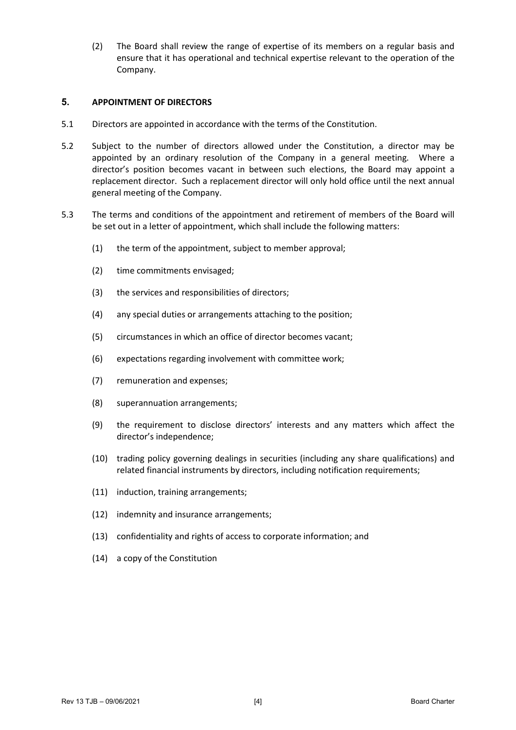(2) The Board shall review the range of expertise of its members on a regular basis and ensure that it has operational and technical expertise relevant to the operation of the Company.

#### <span id="page-5-0"></span>**5. APPOINTMENT OF DIRECTORS**

- 5.1 Directors are appointed in accordance with the terms of the Constitution.
- 5.2 Subject to the number of directors allowed under the Constitution, a director may be appointed by an ordinary resolution of the Company in a general meeting. Where a director's position becomes vacant in between such elections, the Board may appoint a replacement director. Such a replacement director will only hold office until the next annual general meeting of the Company.
- 5.3 The terms and conditions of the appointment and retirement of members of the Board will be set out in a letter of appointment, which shall include the following matters:
	- (1) the term of the appointment, subject to member approval;
	- (2) time commitments envisaged;
	- (3) the services and responsibilities of directors;
	- (4) any special duties or arrangements attaching to the position;
	- (5) circumstances in which an office of director becomes vacant;
	- (6) expectations regarding involvement with committee work;
	- (7) remuneration and expenses;
	- (8) superannuation arrangements;
	- (9) the requirement to disclose directors' interests and any matters which affect the director's independence;
	- (10) trading policy governing dealings in securities (including any share qualifications) and related financial instruments by directors, including notification requirements;
	- (11) induction, training arrangements;
	- (12) indemnity and insurance arrangements;
	- (13) confidentiality and rights of access to corporate information; and
	- (14) a copy of the Constitution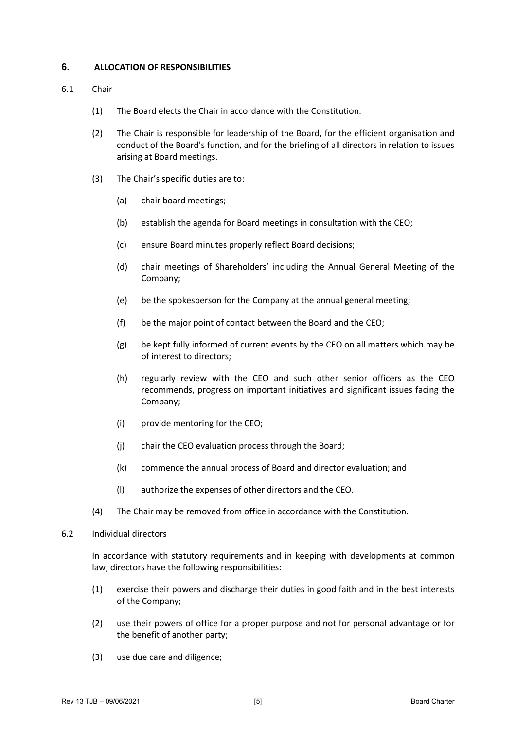#### <span id="page-6-0"></span>**6. ALLOCATION OF RESPONSIBILITIES**

#### 6.1 Chair

- (1) The Board elects the Chair in accordance with the Constitution.
- (2) The Chair is responsible for leadership of the Board, for the efficient organisation and conduct of the Board's function, and for the briefing of all directors in relation to issues arising at Board meetings.
- (3) The Chair's specific duties are to:
	- (a) chair board meetings;
	- (b) establish the agenda for Board meetings in consultation with the CEO;
	- (c) ensure Board minutes properly reflect Board decisions;
	- (d) chair meetings of Shareholders' including the Annual General Meeting of the Company;
	- (e) be the spokesperson for the Company at the annual general meeting;
	- (f) be the major point of contact between the Board and the CEO;
	- (g) be kept fully informed of current events by the CEO on all matters which may be of interest to directors;
	- (h) regularly review with the CEO and such other senior officers as the CEO recommends, progress on important initiatives and significant issues facing the Company;
	- (i) provide mentoring for the CEO;
	- (j) chair the CEO evaluation process through the Board;
	- (k) commence the annual process of Board and director evaluation; and
	- (l) authorize the expenses of other directors and the CEO.
- (4) The Chair may be removed from office in accordance with the Constitution.
- 6.2 Individual directors

In accordance with statutory requirements and in keeping with developments at common law, directors have the following responsibilities:

- (1) exercise their powers and discharge their duties in good faith and in the best interests of the Company;
- (2) use their powers of office for a proper purpose and not for personal advantage or for the benefit of another party;
- (3) use due care and diligence;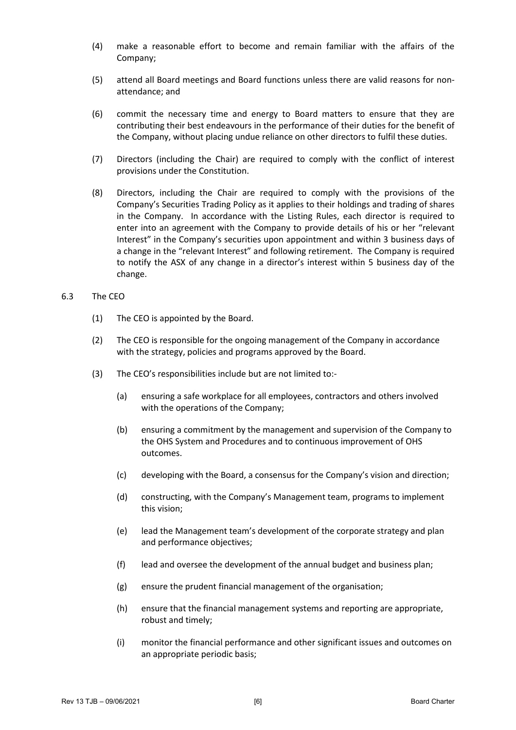- (4) make a reasonable effort to become and remain familiar with the affairs of the Company;
- (5) attend all Board meetings and Board functions unless there are valid reasons for nonattendance; and
- (6) commit the necessary time and energy to Board matters to ensure that they are contributing their best endeavours in the performance of their duties for the benefit of the Company, without placing undue reliance on other directors to fulfil these duties.
- (7) Directors (including the Chair) are required to comply with the conflict of interest provisions under the Constitution.
- (8) Directors, including the Chair are required to comply with the provisions of the Company's Securities Trading Policy as it applies to their holdings and trading of shares in the Company. In accordance with the Listing Rules, each director is required to enter into an agreement with the Company to provide details of his or her "relevant Interest" in the Company's securities upon appointment and within 3 business days of a change in the "relevant Interest" and following retirement. The Company is required to notify the ASX of any change in a director's interest within 5 business day of the change.
- 6.3 The CEO
	- (1) The CEO is appointed by the Board.
	- (2) The CEO is responsible for the ongoing management of the Company in accordance with the strategy, policies and programs approved by the Board.
	- (3) The CEO's responsibilities include but are not limited to:-
		- (a) ensuring a safe workplace for all employees, contractors and others involved with the operations of the Company;
		- (b) ensuring a commitment by the management and supervision of the Company to the OHS System and Procedures and to continuous improvement of OHS outcomes.
		- (c) developing with the Board, a consensus for the Company's vision and direction;
		- (d) constructing, with the Company's Management team, programs to implement this vision;
		- (e) lead the Management team's development of the corporate strategy and plan and performance objectives;
		- (f) lead and oversee the development of the annual budget and business plan;
		- (g) ensure the prudent financial management of the organisation;
		- (h) ensure that the financial management systems and reporting are appropriate, robust and timely;
		- (i) monitor the financial performance and other significant issues and outcomes on an appropriate periodic basis;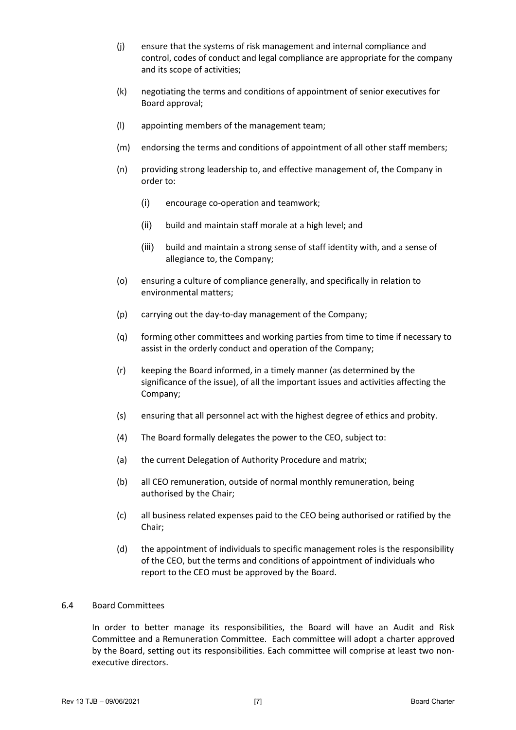- (j) ensure that the systems of risk management and internal compliance and control, codes of conduct and legal compliance are appropriate for the company and its scope of activities;
- (k) negotiating the terms and conditions of appointment of senior executives for Board approval;
- (l) appointing members of the management team;
- (m) endorsing the terms and conditions of appointment of all other staff members;
- (n) providing strong leadership to, and effective management of, the Company in order to:
	- (i) encourage co-operation and teamwork;
	- (ii) build and maintain staff morale at a high level; and
	- (iii) build and maintain a strong sense of staff identity with, and a sense of allegiance to, the Company;
- (o) ensuring a culture of compliance generally, and specifically in relation to environmental matters;
- (p) carrying out the day-to-day management of the Company;
- (q) forming other committees and working parties from time to time if necessary to assist in the orderly conduct and operation of the Company;
- (r) keeping the Board informed, in a timely manner (as determined by the significance of the issue), of all the important issues and activities affecting the Company;
- (s) ensuring that all personnel act with the highest degree of ethics and probity.
- (4) The Board formally delegates the power to the CEO, subject to:
- (a) the current Delegation of Authority Procedure and matrix;
- (b) all CEO remuneration, outside of normal monthly remuneration, being authorised by the Chair;
- (c) all business related expenses paid to the CEO being authorised or ratified by the Chair;
- (d) the appointment of individuals to specific management roles is the responsibility of the CEO, but the terms and conditions of appointment of individuals who report to the CEO must be approved by the Board.

#### 6.4 Board Committees

In order to better manage its responsibilities, the Board will have an Audit and Risk Committee and a Remuneration Committee. Each committee will adopt a charter approved by the Board, setting out its responsibilities. Each committee will comprise at least two nonexecutive directors.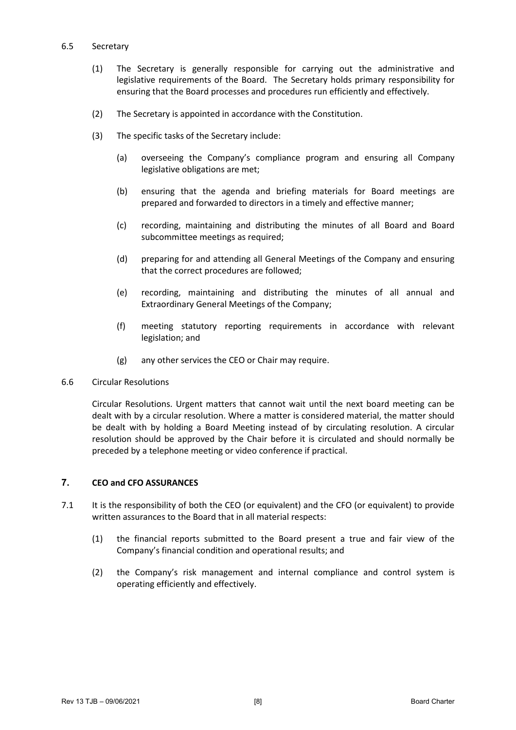#### 6.5 Secretary

- (1) The Secretary is generally responsible for carrying out the administrative and legislative requirements of the Board. The Secretary holds primary responsibility for ensuring that the Board processes and procedures run efficiently and effectively.
- (2) The Secretary is appointed in accordance with the Constitution.
- (3) The specific tasks of the Secretary include:
	- (a) overseeing the Company's compliance program and ensuring all Company legislative obligations are met;
	- (b) ensuring that the agenda and briefing materials for Board meetings are prepared and forwarded to directors in a timely and effective manner;
	- (c) recording, maintaining and distributing the minutes of all Board and Board subcommittee meetings as required;
	- (d) preparing for and attending all General Meetings of the Company and ensuring that the correct procedures are followed;
	- (e) recording, maintaining and distributing the minutes of all annual and Extraordinary General Meetings of the Company;
	- (f) meeting statutory reporting requirements in accordance with relevant legislation; and
	- (g) any other services the CEO or Chair may require.
- 6.6 Circular Resolutions

Circular Resolutions. Urgent matters that cannot wait until the next board meeting can be dealt with by a circular resolution. Where a matter is considered material, the matter should be dealt with by holding a Board Meeting instead of by circulating resolution. A circular resolution should be approved by the Chair before it is circulated and should normally be preceded by a telephone meeting or video conference if practical.

#### <span id="page-9-0"></span>**7. CEO and CFO ASSURANCES**

- 7.1 It is the responsibility of both the CEO (or equivalent) and the CFO (or equivalent) to provide written assurances to the Board that in all material respects:
	- (1) the financial reports submitted to the Board present a true and fair view of the Company's financial condition and operational results; and
	- (2) the Company's risk management and internal compliance and control system is operating efficiently and effectively.